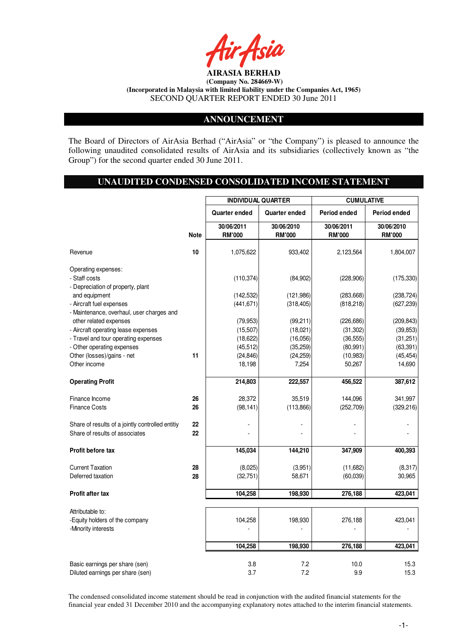

## **ANNOUNCEMENT**

The Board of Directors of AirAsia Berhad ("AirAsia" or "the Company") is pleased to announce the following unaudited consolidated results of AirAsia and its subsidiaries (collectively known as "the Group") for the second quarter ended 30 June 2011.

# **UNAUDITED CONDENSED CONSOLIDATED INCOME STATEMENT**

|                                                                                    |             | <b>INDIVIDUAL QUARTER</b> |                      | <b>CUMULATIVE</b>      |                       |
|------------------------------------------------------------------------------------|-------------|---------------------------|----------------------|------------------------|-----------------------|
|                                                                                    |             | Quarter ended             | Quarter ended        | Period ended           | <b>Period ended</b>   |
|                                                                                    |             | 30/06/2011                | 30/06/2010           | 30/06/2011             | 30/06/2010            |
|                                                                                    | <b>Note</b> | <b>RM'000</b>             | <b>RM'000</b>        | <b>RM'000</b>          | <b>RM'000</b>         |
| Revenue                                                                            | 10          | 1,075,622                 | 933,402              | 2,123,564              | 1,804,007             |
| Operating expenses:                                                                |             |                           |                      |                        |                       |
| - Staff costs<br>- Depreciation of property, plant                                 |             | (110, 374)                | (84,902)             | (228, 906)             | (175, 330)            |
| and equipment                                                                      |             | (142, 532)                | (121,986)            | (283, 668)             | (238, 724)            |
| - Aircraft fuel expenses                                                           |             | (441, 671)                | (318, 405)           | (818, 218)             | (627, 239)            |
| - Maintenance, overhaul, user charges and                                          |             |                           |                      |                        |                       |
| other related expenses                                                             |             | (79, 953)                 | (99,211)             | (226, 686)             | (209, 843)            |
| - Aircraft operating lease expenses<br>- Travel and tour operating expenses        |             | (15,507)<br>(18,622)      | (18,021)<br>(16,056) | (31, 302)<br>(36, 555) | (39, 853)<br>(31,251) |
| - Other operating expenses                                                         |             | (45, 512)                 | (35, 259)            | (80, 991)              | (63, 391)             |
| Other (losses)/gains - net                                                         | 11          | (24, 846)                 | (24, 259)            | (10, 983)              | (45, 454)             |
| Other income                                                                       |             | 18,198                    | 7,254                | 50,267                 | 14,690                |
| <b>Operating Profit</b>                                                            |             | 214,803                   | 222,557              | 456,522                | 387,612               |
| Finance Income                                                                     | 26          | 28,372                    | 35,519               | 144,096                | 341,997               |
| <b>Finance Costs</b>                                                               | 26          | (98, 141)                 | (113, 866)           | (252, 709)             | (329, 216)            |
|                                                                                    | 22          |                           |                      |                        |                       |
| Share of results of a jointly controlled entitiy<br>Share of results of associates | 22          |                           |                      |                        |                       |
|                                                                                    |             |                           |                      |                        |                       |
| Profit before tax                                                                  |             | 145,034                   | 144,210              | 347,909                | 400,393               |
| <b>Current Taxation</b>                                                            | 28          | (8,025)                   | (3,951)              | (11,682)               | (8, 317)              |
| Deferred taxation                                                                  | 28          | (32, 751)                 | 58,671               | (60, 039)              | 30,965                |
| Profit after tax                                                                   |             | 104.258                   | 198,930              | 276,188                | 423,041               |
|                                                                                    |             |                           |                      |                        |                       |
| Attributable to:                                                                   |             |                           |                      |                        |                       |
| -Equity holders of the company<br>-Minority interests                              |             | 104,258                   | 198,930              | 276,188                | 423,041               |
|                                                                                    |             |                           |                      |                        |                       |
|                                                                                    |             | 104,258                   | 198,930              | 276,188                | 423,041               |
| Basic earnings per share (sen)                                                     |             | 3.8                       | 7.2                  | 10.0                   | 15.3                  |
| Diluted earnings per share (sen)                                                   |             | 3.7                       | 7.2                  | 9.9                    | 15.3                  |

The condensed consolidated income statement should be read in conjunction with the audited financial statements for the financial year ended 31 December 2010 and the accompanying explanatory notes attached to the interim financial statements.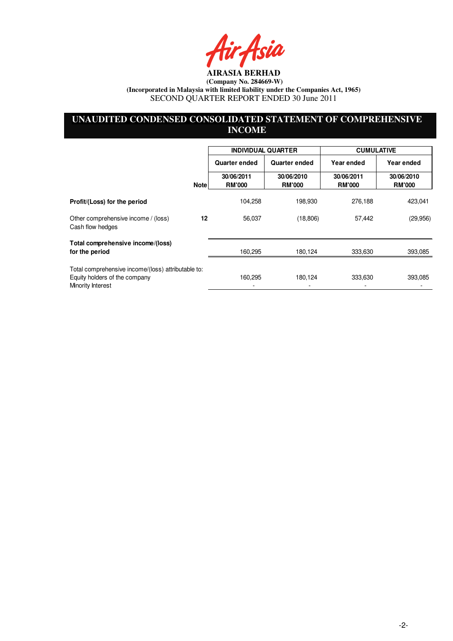fir<sub>t</sub>Asia

# **UNAUDITED CONDENSED CONSOLIDATED STATEMENT OF COMPREHENSIVE INCOME**

|                                                                                                          |                             | <b>INDIVIDUAL QUARTER</b>   | <b>CUMULATIVE</b>           |                             |  |
|----------------------------------------------------------------------------------------------------------|-----------------------------|-----------------------------|-----------------------------|-----------------------------|--|
|                                                                                                          | Quarter ended               | <b>Quarter ended</b>        | Year ended                  | Year ended                  |  |
| <b>Note</b>                                                                                              | 30/06/2011<br><b>RM'000</b> | 30/06/2010<br><b>RM'000</b> | 30/06/2011<br><b>RM'000</b> | 30/06/2010<br><b>RM'000</b> |  |
| Profit/(Loss) for the period                                                                             | 104,258                     | 198,930                     | 276,188                     | 423,041                     |  |
| Other comprehensive income / (loss)<br>12<br>Cash flow hedges                                            | 56,037                      | (18, 806)                   | 57,442                      | (29, 956)                   |  |
| Total comprehensive income/(loss)                                                                        |                             |                             |                             |                             |  |
| for the period                                                                                           | 160,295                     | 180,124                     | 333,630                     | 393,085                     |  |
| Total comprehensive income/(loss) attributable to:<br>Equity holders of the company<br>Minority Interest | 160,295                     | 180,124                     | 333,630                     | 393,085                     |  |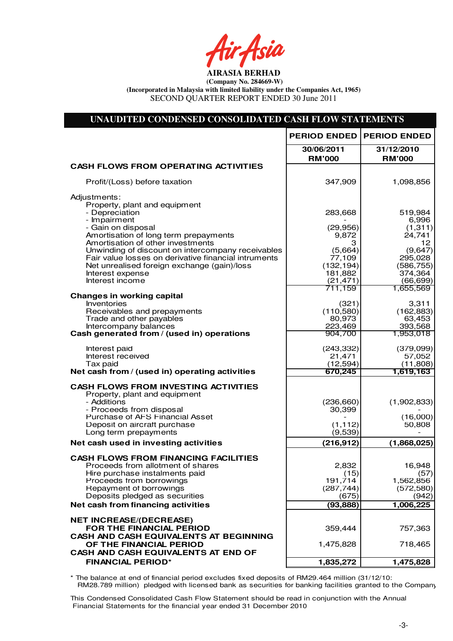fir<sub>t</sub>fsia

| UNAUDITED CONDENSED CONSOLIDATED CASH FLOW STATEMENTS                                                                                                                                                                                                                                                                                           |                                                                      |                                                                                  |
|-------------------------------------------------------------------------------------------------------------------------------------------------------------------------------------------------------------------------------------------------------------------------------------------------------------------------------------------------|----------------------------------------------------------------------|----------------------------------------------------------------------------------|
|                                                                                                                                                                                                                                                                                                                                                 | <b>PERIOD ENDED</b>                                                  | <b>PERIOD ENDED</b>                                                              |
|                                                                                                                                                                                                                                                                                                                                                 | 30/06/2011<br><b>RM'000</b>                                          | 31/12/2010<br><b>RM'000</b>                                                      |
| <b>CASH FLOWS FROM OPERATING ACTIVITIES</b>                                                                                                                                                                                                                                                                                                     |                                                                      |                                                                                  |
| Profit/(Loss) before taxation                                                                                                                                                                                                                                                                                                                   | 347,909                                                              | 1,098,856                                                                        |
| Adjustments:<br>Property, plant and equipment<br>- Depreciation<br>- Impairment<br>- Gain on disposal<br>Amortisation of long term prepayments<br>Amortisation of other investments<br>Unwinding of discount on intercompany receivables<br>Fair value losses on derivative financial intruments<br>Net unrealised foreign exchange (gain)/loss | 283,668<br>(29,956)<br>9,872<br>З<br>(5,664)<br>77,109<br>(132, 194) | 519,984<br>6,996<br>(1, 311)<br>24,741<br>12<br>(9,647)<br>295,028<br>(586, 755) |
| Interest expense<br>Interest income                                                                                                                                                                                                                                                                                                             | 181,882                                                              | 374,364                                                                          |
|                                                                                                                                                                                                                                                                                                                                                 | (21, 471)<br>711,159                                                 | (66, 699)<br>1,655,569                                                           |
| <b>Changes in working capital</b><br><b>Inventories</b><br>Receivables and prepayments<br>Trade and other payables<br>Intercompany balances<br>Cash generated from / (used in) operations                                                                                                                                                       | (321)<br>(110, 580)<br>80,973<br>223,469<br>904,700                  | 3,311<br>(162, 883)<br>63,453<br>393,568<br>1,953,018                            |
| Interest paid<br>Interest received<br>Tax paid<br>Net cash from / (used in) operating activities                                                                                                                                                                                                                                                | (243, 332)<br>21,471<br>(12, 594)<br>670,245                         | (379,099)<br>57,052<br>(11,808)<br>1,619,163                                     |
| <b>CASH FLOWS FROM INVESTING ACTIVITIES</b><br>Property, plant and equipment<br>- Additions<br>- Proceeds from disposal<br>Purchase of AFS Financial Asset<br>Deposit on aircraft purchase<br>Long term prepayments                                                                                                                             | (236, 660)<br>30,399<br>(1, 112)<br>(9,539)                          | (1,902,833)<br>(16,000)<br>50,808                                                |
| Net cash used in investing activities                                                                                                                                                                                                                                                                                                           | (216, 912)                                                           | (1,868,025)                                                                      |
| <b>CASH FLOWS FROM FINANCING FACILITIES</b><br>Proceeds from allotment of shares<br>Hire purchase instalments paid<br>Proceeds from borrowings<br>Repayment of borrowings<br>Deposits pledged as securities<br>Net cash from financing activities                                                                                               | 2,832<br>(15)<br>191,714<br>(287, 744)<br>(675)<br>(93, 888)         | 16,948<br>(57)<br>1,562,856<br>(572, 580)<br>(942)<br>1,006,225                  |
| <b>NET INCREASE/(DECREASE)</b><br>FOR THE FINANCIAL PERIOD<br>CASH AND CASH EQUIVALENTS AT BEGINNING<br>OF THE FINANCIAL PERIOD                                                                                                                                                                                                                 | 359,444<br>1,475,828                                                 | 757,363<br>718,465                                                               |
| CASH AND CASH EQUIVALENTS AT END OF                                                                                                                                                                                                                                                                                                             |                                                                      |                                                                                  |
| <b>FINANCIAL PERIOD*</b>                                                                                                                                                                                                                                                                                                                        | 1,835,272                                                            | 1,475,828                                                                        |

\* The balance at end of financial period excludes fixed deposits of RM29.464 million (31/12/10: RM28.789 million) pledged with licensed bank as securities for banking facilities granted to the Company

This Condensed Consolidated Cash Flow Statement should be read in conjunction with the Annual Financial Statements for the financial year ended 31 December 2010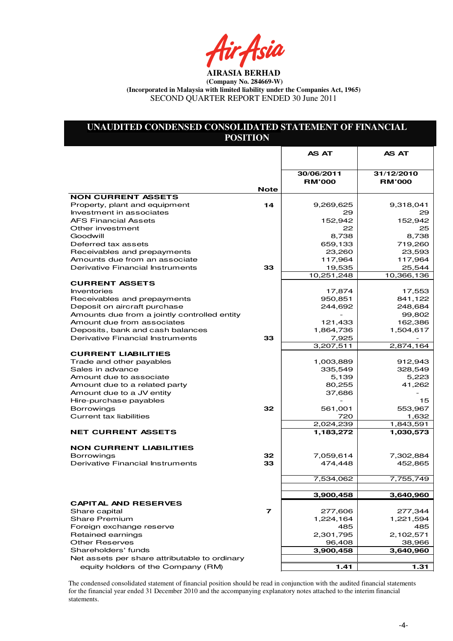rAsia

# **UNAUDITED CONDENSED CONSOLIDATED STATEMENT OF FINANCIAL POSITION**

|                                               |                | <b>AS AT</b>                | AS AT                       |
|-----------------------------------------------|----------------|-----------------------------|-----------------------------|
|                                               |                |                             |                             |
|                                               |                | 30/06/2011<br><b>RM'000</b> | 31/12/2010<br><b>RM'000</b> |
|                                               | <b>Note</b>    |                             |                             |
| <b>NON CURRENT ASSETS</b>                     |                |                             |                             |
| Property, plant and equipment                 | 14             | 9,269,625                   | 9,318,041                   |
| Investment in associates                      |                | 29                          | 29                          |
| <b>AFS Financial Assets</b>                   |                | 152,942                     | 152,942                     |
| Other investment                              |                | 22                          | 25                          |
| Goodwill<br>Deferred tax assets               |                | 8,738                       | 8,738                       |
| Receivables and prepayments                   |                | 659,133<br>23,260           | 719,260<br>23,593           |
| Amounts due from an associate                 |                | 117,964                     | 117,964                     |
| Derivative Financial Instruments              | 33             | 19,535                      | 25,544                      |
|                                               |                | 10,251,248                  | 10,366,136                  |
| <b>CURRENT ASSETS</b>                         |                |                             |                             |
| <b>Inventories</b>                            |                | 17,874                      | 17,553                      |
| Receivables and prepayments                   |                | 950,851                     | 841,122                     |
| Deposit on aircraft purchase                  |                | 244,692                     | 248,684                     |
| Amounts due from a jointly controlled entity  |                |                             | 99,802                      |
| Amount due from associates                    |                | 121,433                     | 162,386                     |
| Deposits, bank and cash balances              |                | 1,864,736                   | 1,504,617                   |
| Derivative Financial Instruments              | 33             | 7,925                       |                             |
|                                               |                | 3,207,511                   | 2,874,164                   |
| <b>CURRENT LIABILITIES</b>                    |                |                             |                             |
| Trade and other payables                      |                | 1,003,889                   | 912,943                     |
| Sales in advance                              |                | 335,549                     | 328,549                     |
| Amount due to associate                       |                | 5,139                       | 5,223                       |
| Amount due to a related party                 |                | 80,255                      | 41,262                      |
| Amount due to a JV entity                     |                | 37,686                      |                             |
| Hire-purchase payables                        |                |                             | 15                          |
| <b>Borrowings</b>                             | 32             | 561,001                     | 553,967                     |
| <b>Current tax liabilities</b>                |                | 720                         | 1,632                       |
|                                               |                | 2,024,239                   | 1,843,591                   |
| <b>NET CURRENT ASSETS</b>                     |                | 1,183,272                   | 1,030,573                   |
|                                               |                |                             |                             |
| <b>NON CURRENT LIABILITIES</b>                |                |                             |                             |
| <b>Borrowings</b>                             | 32             | 7,059,614                   | 7,302,884                   |
| Derivative Financial Instruments              | 33             | 474,448                     | 452,865                     |
|                                               |                |                             |                             |
|                                               |                | 7,534,062                   | 7,755,749                   |
|                                               |                |                             |                             |
|                                               |                | 3,900,458                   | 3,640,960                   |
| <b>CAPITAL AND RESERVES</b>                   |                |                             |                             |
| Share capital                                 | $\overline{ }$ | 277,606                     | 277,344                     |
| <b>Share Premium</b>                          |                | 1,224,164                   | 1,221,594                   |
| Foreign exchange reserve                      |                | 485                         | 485                         |
| Retained earnings                             |                | 2,301,795                   | 2,102,571                   |
| <b>Other Reserves</b>                         |                | 96,408                      | 38,966                      |
| Shareholders' funds                           |                | 3,900,458                   | 3,640,960                   |
| Net assets per share attributable to ordinary |                |                             |                             |
| equity holders of the Company (RM)            |                | 1.41                        | 1.31                        |

The condensed consolidated statement of financial position should be read in conjunction with the audited financial statements for the financial year ended 31 December 2010 and the accompanying explanatory notes attached to the interim financial statements.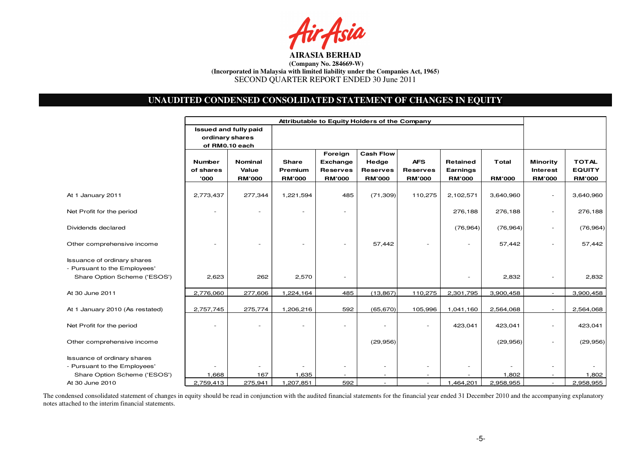

# **UNAUDITED CONDENSED CONSOLIDATED STATEMENT OF CHANGES IN EQUITY**

|                                    | Attributable to Equity Holders of the Company |                              |               |                          |                          |                          |                          |               |                          |               |
|------------------------------------|-----------------------------------------------|------------------------------|---------------|--------------------------|--------------------------|--------------------------|--------------------------|---------------|--------------------------|---------------|
|                                    |                                               | <b>Issued and fully paid</b> |               |                          |                          |                          |                          |               |                          |               |
|                                    | ordinary shares                               |                              |               |                          |                          |                          |                          |               |                          |               |
|                                    |                                               | of RM0.10 each               |               |                          |                          |                          |                          |               |                          |               |
|                                    |                                               |                              |               | Foreign                  | <b>Cash Flow</b>         |                          |                          |               |                          |               |
|                                    | <b>Number</b>                                 | <b>Nominal</b>               | <b>Share</b>  | Exchange                 | Hedge                    | <b>AFS</b>               | Retained                 | <b>Total</b>  | <b>Minority</b>          | <b>TOTAL</b>  |
|                                    | of shares                                     | Value                        | Premium       | <b>Reserves</b>          | <b>Reserves</b>          | <b>Reserves</b>          | <b>Earnings</b>          |               | <b>Interest</b>          | <b>EQUITY</b> |
|                                    | '000                                          | <b>RM'000</b>                | <b>RM'000</b> | <b>RM'000</b>            | <b>RM'000</b>            | <b>RM'000</b>            | <b>RM'000</b>            | <b>RM'000</b> | <b>RM'000</b>            | <b>RM'000</b> |
| At 1 January 2011                  | 2,773,437                                     | 277,344                      | 1,221,594     | 485                      | (71, 309)                | 110,275                  | 2,102,571                | 3,640,960     | $\overline{\phantom{a}}$ | 3,640,960     |
| Net Profit for the period          |                                               |                              |               | $\overline{\phantom{0}}$ |                          |                          | 276,188                  | 276,188       | $\overline{\phantom{a}}$ | 276,188       |
| Dividends declared                 |                                               |                              |               |                          |                          |                          | (76, 964)                | (76, 964)     | $\sim$                   | (76, 964)     |
| Other comprehensive income         |                                               |                              |               |                          | 57,442                   |                          | $\overline{\phantom{a}}$ | 57,442        | $\overline{\phantom{a}}$ | 57,442        |
| <b>Issuance of ordinary shares</b> |                                               |                              |               |                          |                          |                          |                          |               |                          |               |
| - Pursuant to the Employees'       |                                               |                              |               |                          |                          |                          |                          |               |                          |               |
| Share Option Scheme ('ESOS')       | 2,623                                         | 262                          | 2,570         | Ξ.                       |                          |                          |                          | 2,832         | $\overline{\phantom{a}}$ | 2,832         |
|                                    |                                               |                              |               |                          |                          |                          |                          |               |                          |               |
| At 30 June 2011                    | 2,776,060                                     | 277,606                      | 1,224,164     | 485                      | (13, 867)                | 110,275                  | 2,301,795                | 3,900,458     |                          | 3,900,458     |
|                                    |                                               |                              |               |                          |                          |                          |                          |               |                          |               |
| At 1 January 2010 (As restated)    | 2,757,745                                     | 275,774                      | 1,206,216     | 592                      | (65, 670)                | 105,996                  | 1,041,160                | 2,564,068     | ٠                        | 2,564,068     |
| Net Profit for the period          |                                               |                              |               |                          |                          | $\overline{\phantom{a}}$ | 423,041                  | 423,041       | $\overline{\phantom{a}}$ | 423,041       |
| Other comprehensive income         |                                               |                              |               |                          | (29, 956)                |                          |                          | (29,956)      | $\sim$                   | (29,956)      |
| <b>Issuance of ordinary shares</b> |                                               |                              |               |                          |                          |                          |                          |               |                          |               |
| - Pursuant to the Employees'       | ÷.                                            | $\overline{\phantom{a}}$     |               |                          | $\overline{\phantom{a}}$ | $\overline{\phantom{a}}$ |                          |               | $\overline{\phantom{a}}$ |               |
| Share Option Scheme ('ESOS')       | 1,668                                         | 167                          | 1,635         |                          | $\overline{\phantom{a}}$ |                          |                          | 1,802         |                          | 1,802         |
| At 30 June 2010                    | 2,759,413                                     | 275,941                      | 1,207,851     | 592                      | $\overline{\phantom{a}}$ | $\sim$                   | 1,464,201                | 2,958,955     | $\overline{\phantom{a}}$ | 2,958,955     |

The condensed consolidated statement of changes in equity should be read in conjunction with the audited financial statements for the financial year ended 31 December 2010 and the accompanying explanatory<br>notes attached to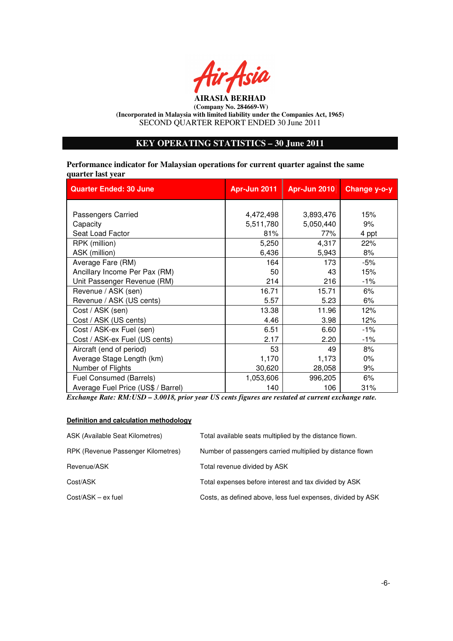

# **KEY OPERATING STATISTICS – 30 June 2011**

**Performance indicator for Malaysian operations for current quarter against the same quarter last year**

| <b>Quarter Ended: 30 June</b>      | Apr-Jun 2011 | Apr-Jun 2010 | <b>Change y-o-y</b> |
|------------------------------------|--------------|--------------|---------------------|
|                                    |              |              |                     |
| Passengers Carried                 | 4,472,498    | 3,893,476    | 15%                 |
| Capacity                           | 5,511,780    | 5,050,440    | 9%                  |
| Seat Load Factor                   | 81%          | 77%          | 4 ppt               |
| RPK (million)                      | 5,250        | 4,317        | 22%                 |
| ASK (million)                      | 6,436        | 5,943        | 8%                  |
| Average Fare (RM)                  | 164          | 173          | -5%                 |
| Ancillary Income Per Pax (RM)      | 50           | 43           | 15%                 |
| Unit Passenger Revenue (RM)        | 214          | 216          | $-1%$               |
| Revenue / ASK (sen)                | 16.71        | 15.71        | 6%                  |
| Revenue / ASK (US cents)           | 5.57         | 5.23         | 6%                  |
| Cost / ASK (sen)                   | 13.38        | 11.96        | 12%                 |
| Cost / ASK (US cents)              | 4.46         | 3.98         | 12%                 |
| Cost / ASK-ex Fuel (sen)           | 6.51         | 6.60         | $-1\%$              |
| Cost / ASK-ex Fuel (US cents)      | 2.17         | 2.20         | $-1%$               |
| Aircraft (end of period)           | 53           | 49           | 8%                  |
| Average Stage Length (km)          | 1,170        | 1,173        | $0\%$               |
| Number of Flights                  | 30,620       | 28,058       | 9%                  |
| Fuel Consumed (Barrels)            | 1,053,606    | 996,205      | 6%                  |
| Average Fuel Price (US\$ / Barrel) | 140          | 106          | 31%                 |

*Exchange Rate: RM:USD – 3.0018, prior year US cents figures are restated at current exchange rate.* 

#### **Definition and calculation methodology**

| ASK (Available Seat Kilometres)    | Total available seats multiplied by the distance flown.     |
|------------------------------------|-------------------------------------------------------------|
| RPK (Revenue Passenger Kilometres) | Number of passengers carried multiplied by distance flown   |
| Revenue/ASK                        | Total revenue divided by ASK                                |
| Cost/ASK                           | Total expenses before interest and tax divided by ASK       |
| $Cost/ASK - ex fuel$               | Costs, as defined above, less fuel expenses, divided by ASK |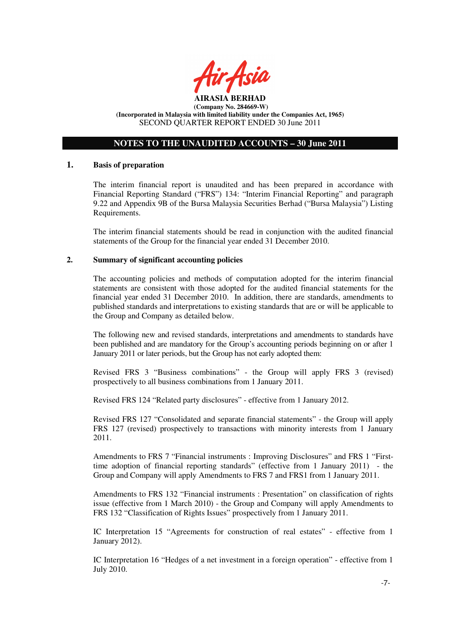

# **NOTES TO THE UNAUDITED ACCOUNTS – 30 June 2011**

### **1. Basis of preparation**

The interim financial report is unaudited and has been prepared in accordance with Financial Reporting Standard ("FRS") 134: "Interim Financial Reporting" and paragraph 9.22 and Appendix 9B of the Bursa Malaysia Securities Berhad ("Bursa Malaysia") Listing Requirements.

The interim financial statements should be read in conjunction with the audited financial statements of the Group for the financial year ended 31 December 2010.

# **2. Summary of significant accounting policies**

The accounting policies and methods of computation adopted for the interim financial statements are consistent with those adopted for the audited financial statements for the financial year ended 31 December 2010. In addition, there are standards, amendments to published standards and interpretations to existing standards that are or will be applicable to the Group and Company as detailed below.

The following new and revised standards, interpretations and amendments to standards have been published and are mandatory for the Group's accounting periods beginning on or after 1 January 2011 or later periods, but the Group has not early adopted them:

Revised FRS 3 "Business combinations" - the Group will apply FRS 3 (revised) prospectively to all business combinations from 1 January 2011.

Revised FRS 124 "Related party disclosures" - effective from 1 January 2012.

Revised FRS 127 "Consolidated and separate financial statements" - the Group will apply FRS 127 (revised) prospectively to transactions with minority interests from 1 January 2011.

Amendments to FRS 7 "Financial instruments : Improving Disclosures" and FRS 1 "Firsttime adoption of financial reporting standards" (effective from 1 January 2011) - the Group and Company will apply Amendments to FRS 7 and FRS1 from 1 January 2011.

Amendments to FRS 132 "Financial instruments : Presentation" on classification of rights issue (effective from 1 March 2010) - the Group and Company will apply Amendments to FRS 132 "Classification of Rights Issues" prospectively from 1 January 2011.

IC Interpretation 15 "Agreements for construction of real estates" - effective from 1 January 2012).

IC Interpretation 16 "Hedges of a net investment in a foreign operation" - effective from 1 July 2010.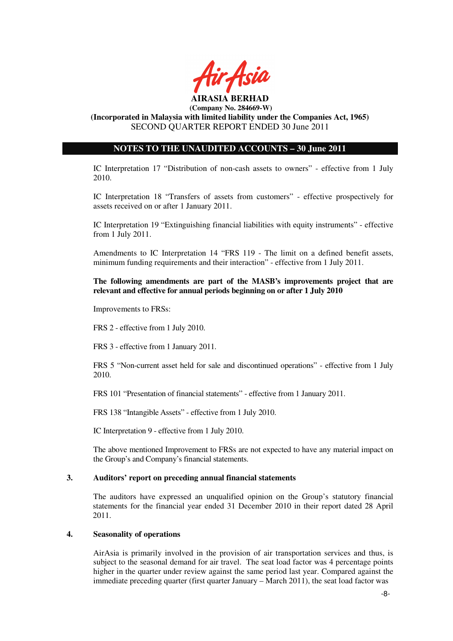

# **NOTES TO THE UNAUDITED ACCOUNTS – 30 June 2011**

IC Interpretation 17 "Distribution of non-cash assets to owners" - effective from 1 July 2010.

IC Interpretation 18 "Transfers of assets from customers" - effective prospectively for assets received on or after 1 January 2011.

IC Interpretation 19 "Extinguishing financial liabilities with equity instruments" - effective from 1 July 2011.

Amendments to IC Interpretation 14 "FRS 119 - The limit on a defined benefit assets, minimum funding requirements and their interaction" - effective from 1 July 2011.

## **The following amendments are part of the MASB's improvements project that are relevant and effective for annual periods beginning on or after 1 July 2010**

Improvements to FRSs:

FRS 2 - effective from 1 July 2010.

FRS 3 - effective from 1 January 2011.

FRS 5 "Non-current asset held for sale and discontinued operations" - effective from 1 July 2010.

FRS 101 "Presentation of financial statements" - effective from 1 January 2011.

FRS 138 "Intangible Assets" - effective from 1 July 2010.

IC Interpretation 9 - effective from 1 July 2010.

The above mentioned Improvement to FRSs are not expected to have any material impact on the Group's and Company's financial statements.

## **3. Auditors' report on preceding annual financial statements**

The auditors have expressed an unqualified opinion on the Group's statutory financial statements for the financial year ended 31 December 2010 in their report dated 28 April 2011.

#### **4. Seasonality of operations**

AirAsia is primarily involved in the provision of air transportation services and thus, is subject to the seasonal demand for air travel. The seat load factor was 4 percentage points higher in the quarter under review against the same period last year. Compared against the immediate preceding quarter (first quarter January – March 2011), the seat load factor was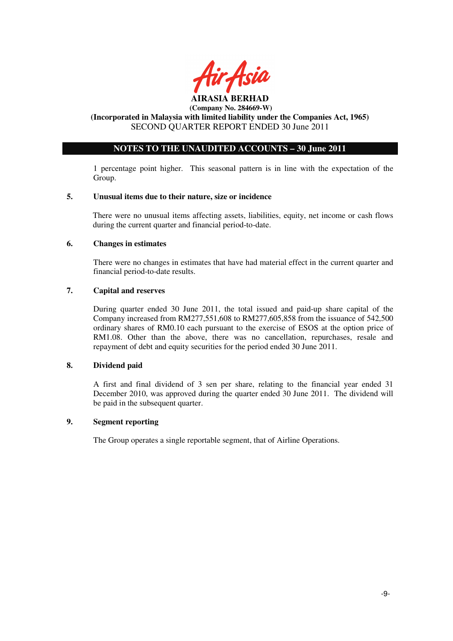

# **(Incorporated in Malaysia with limited liability under the Companies Act, 1965)**  SECOND QUARTER REPORT ENDED 30 June 2011

# **NOTES TO THE UNAUDITED ACCOUNTS – 30 June 2011**

1 percentage point higher. This seasonal pattern is in line with the expectation of the Group.

#### **5. Unusual items due to their nature, size or incidence**

There were no unusual items affecting assets, liabilities, equity, net income or cash flows during the current quarter and financial period-to-date.

#### **6. Changes in estimates**

There were no changes in estimates that have had material effect in the current quarter and financial period-to-date results.

# **7. Capital and reserves**

During quarter ended 30 June 2011, the total issued and paid-up share capital of the Company increased from RM277,551,608 to RM277,605,858 from the issuance of 542,500 ordinary shares of RM0.10 each pursuant to the exercise of ESOS at the option price of RM1.08. Other than the above, there was no cancellation, repurchases, resale and repayment of debt and equity securities for the period ended 30 June 2011.

## **8. Dividend paid**

 A first and final dividend of 3 sen per share, relating to the financial year ended 31 December 2010, was approved during the quarter ended 30 June 2011. The dividend will be paid in the subsequent quarter.

# **9. Segment reporting**

The Group operates a single reportable segment, that of Airline Operations.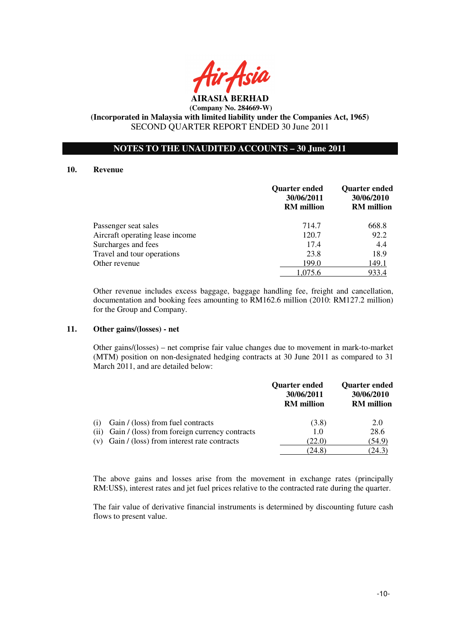

## **(Incorporated in Malaysia with limited liability under the Companies Act, 1965)**  SECOND QUARTER REPORT ENDED 30 June 2011

## **NOTES TO THE UNAUDITED ACCOUNTS – 30 June 2011**

#### **10. Revenue**

|                                 | <b>Quarter ended</b><br>30/06/2011<br><b>RM</b> million | <b>Quarter ended</b><br>30/06/2010<br><b>RM</b> million |
|---------------------------------|---------------------------------------------------------|---------------------------------------------------------|
| Passenger seat sales            | 714.7                                                   | 668.8                                                   |
| Aircraft operating lease income | 120.7                                                   | 92.2                                                    |
| Surcharges and fees             | 17.4                                                    | 4.4                                                     |
| Travel and tour operations      | 23.8                                                    | 18.9                                                    |
| Other revenue                   | 199.0                                                   | 149.1                                                   |
|                                 | 1.075.6                                                 | 933.4                                                   |

Other revenue includes excess baggage, baggage handling fee, freight and cancellation, documentation and booking fees amounting to RM162.6 million (2010: RM127.2 million) for the Group and Company.

#### **11. Other gains/(losses) - net**

 Other gains/(losses) – net comprise fair value changes due to movement in mark-to-market (MTM) position on non-designated hedging contracts at 30 June 2011 as compared to 31 March 2011, and are detailed below:

|     |                                                    | <b>Quarter ended</b><br>30/06/2011<br><b>RM</b> million | <b>Quarter ended</b><br>30/06/2010<br><b>RM</b> million |
|-----|----------------------------------------------------|---------------------------------------------------------|---------------------------------------------------------|
| (1) | Gain / (loss) from fuel contracts                  | (3.8)                                                   | 2.0                                                     |
|     | (ii) Gain / (loss) from foreign currency contracts | 1.0                                                     | 28.6                                                    |
|     | $(v)$ Gain / (loss) from interest rate contracts   | (22.0)                                                  | (54.9)                                                  |
|     |                                                    | (24.8)                                                  | (24.3)                                                  |

The above gains and losses arise from the movement in exchange rates (principally RM:US\$), interest rates and jet fuel prices relative to the contracted rate during the quarter.

The fair value of derivative financial instruments is determined by discounting future cash flows to present value.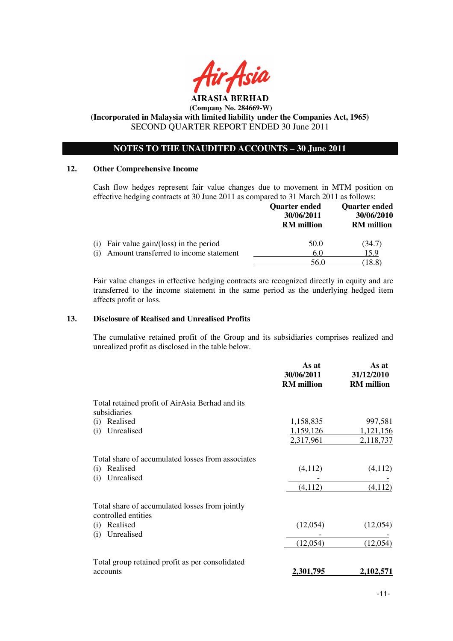

 **(Company No. 284669-W)** 

# **(Incorporated in Malaysia with limited liability under the Companies Act, 1965)**  SECOND QUARTER REPORT ENDED 30 June 2011

# **NOTES TO THE UNAUDITED ACCOUNTS – 30 June 2011**

#### **12. Other Comprehensive Income**

Cash flow hedges represent fair value changes due to movement in MTM position on effective hedging contracts at 30 June 2011 as compared to 31 March 2011 as follows:

|                                               | <b>Quarter ended</b><br>30/06/2011<br><b>RM</b> million | <b>Quarter ended</b><br>30/06/2010<br><b>RM</b> million |
|-----------------------------------------------|---------------------------------------------------------|---------------------------------------------------------|
| Fair value gain/(loss) in the period<br>(1)   | 50.0                                                    | (34.7)                                                  |
| Amount transferred to income statement<br>(1) | 6.0                                                     | 15.9                                                    |
|                                               | 56.0                                                    | 18.8                                                    |

Fair value changes in effective hedging contracts are recognized directly in equity and are transferred to the income statement in the same period as the underlying hedged item affects profit or loss.

#### **13. Disclosure of Realised and Unrealised Profits**

The cumulative retained profit of the Group and its subsidiaries comprises realized and unrealized profit as disclosed in the table below.

|                                                                       | As at<br>30/06/2011<br><b>RM</b> million             | As at<br>31/12/2010<br><b>RM</b> million |
|-----------------------------------------------------------------------|------------------------------------------------------|------------------------------------------|
| Total retained profit of AirAsia Berhad and its                       |                                                      |                                          |
|                                                                       |                                                      | 997,581                                  |
|                                                                       |                                                      | 1,121,156                                |
|                                                                       | 2,317,961                                            | 2,118,737                                |
| Total share of accumulated losses from associates                     |                                                      |                                          |
| Realised<br>(i)                                                       | (4,112)                                              | (4,112)                                  |
| Unrealised<br>(i)                                                     |                                                      |                                          |
|                                                                       | (4,112)                                              | (4,112)                                  |
| Total share of accumulated losses from jointly<br>controlled entities |                                                      |                                          |
| Realised<br>(i)                                                       | (12,054)                                             | (12,054)                                 |
| Unrealised<br>(i)                                                     |                                                      |                                          |
|                                                                       | (12,054)                                             | (12,054)                                 |
| Total group retained profit as per consolidated<br>accounts           | 2,301,795                                            | 2,102,571                                |
|                                                                       | subsidiaries<br>Realised<br>(i)<br>Unrealised<br>(i) | 1,158,835<br>1,159,126                   |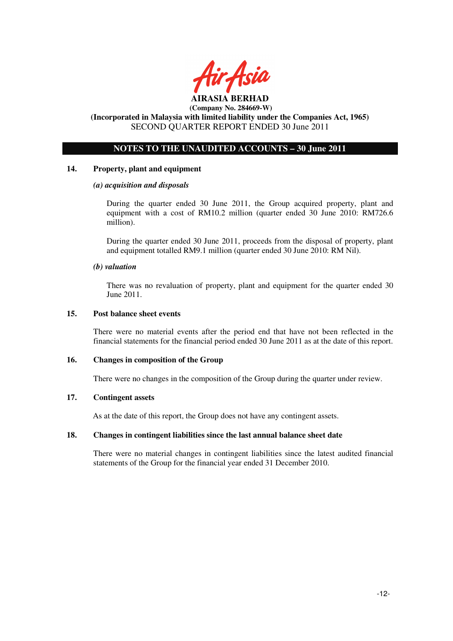

# **NOTES TO THE UNAUDITED ACCOUNTS – 30 June 2011**

## **14. Property, plant and equipment**

#### *(a) acquisition and disposals*

During the quarter ended 30 June 2011, the Group acquired property, plant and equipment with a cost of RM10.2 million (quarter ended 30 June 2010: RM726.6 million).

During the quarter ended 30 June 2011, proceeds from the disposal of property, plant and equipment totalled RM9.1 million (quarter ended 30 June 2010: RM Nil).

#### *(b) valuation*

 There was no revaluation of property, plant and equipment for the quarter ended 30 June 2011.

#### **15. Post balance sheet events**

There were no material events after the period end that have not been reflected in the financial statements for the financial period ended 30 June 2011 as at the date of this report.

#### **16. Changes in composition of the Group**

There were no changes in the composition of the Group during the quarter under review.

## **17. Contingent assets**

As at the date of this report, the Group does not have any contingent assets.

#### **18. Changes in contingent liabilities since the last annual balance sheet date**

There were no material changes in contingent liabilities since the latest audited financial statements of the Group for the financial year ended 31 December 2010.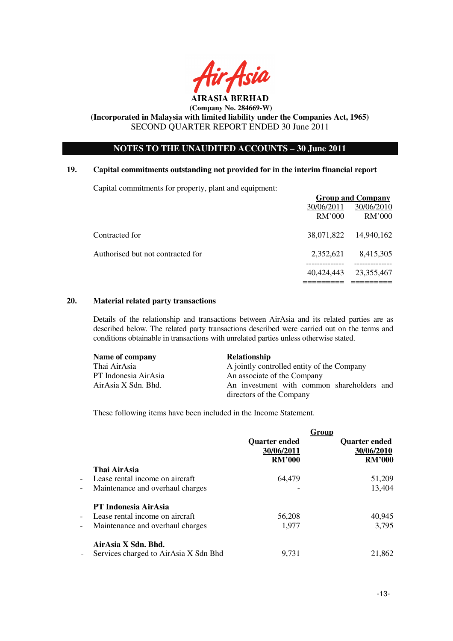

# **(Company No. 284669-W)**

# **(Incorporated in Malaysia with limited liability under the Companies Act, 1965)**  SECOND QUARTER REPORT ENDED 30 June 2011

# **NOTES TO THE UNAUDITED ACCOUNTS – 30 June 2011**

### **19. Capital commitments outstanding not provided for in the interim financial report**

Capital commitments for property, plant and equipment:

|                                   | <b>Group and Company</b> |            |  |
|-----------------------------------|--------------------------|------------|--|
|                                   | 30/06/2011               | 30/06/2010 |  |
|                                   | <b>RM'000</b>            | RM'000     |  |
| Contracted for                    | 38,071,822               | 14,940,162 |  |
| Authorised but not contracted for | 2,352,621                | 8,415,305  |  |
|                                   | 40,424,443               | 23,355,467 |  |
|                                   |                          |            |  |

### **20. Material related party transactions**

Details of the relationship and transactions between AirAsia and its related parties are as described below. The related party transactions described were carried out on the terms and conditions obtainable in transactions with unrelated parties unless otherwise stated.

| Name of company      | <b>Relationship</b>                        |
|----------------------|--------------------------------------------|
| Thai AirAsia         | A jointly controlled entity of the Company |
| PT Indonesia AirAsia | An associate of the Company                |
| AirAsia X Sdn. Bhd.  | An investment with common shareholders and |
|                      | directors of the Company                   |

These following items have been included in the Income Statement.

|                              |                                       |                      | Group                |
|------------------------------|---------------------------------------|----------------------|----------------------|
|                              |                                       | <b>Quarter ended</b> | <b>Quarter ended</b> |
|                              |                                       | 30/06/2011           | 30/06/2010           |
|                              |                                       | <b>RM'000</b>        | <b>RM'000</b>        |
|                              | Thai AirAsia                          |                      |                      |
| $\overline{\phantom{a}}$     | Lease rental income on aircraft       | 64,479               | 51,209               |
| $\overline{\phantom{a}}$     | Maintenance and overhaul charges      |                      | 13,404               |
|                              | <b>PT Indonesia AirAsia</b>           |                      |                      |
| $\overline{\phantom{0}}$     | Lease rental income on aircraft       | 56,208               | 40,945               |
| $\qquad \qquad \blacksquare$ | Maintenance and overhaul charges      | 1,977                | 3,795                |
|                              | AirAsia X Sdn. Bhd.                   |                      |                      |
|                              | Services charged to AirAsia X Sdn Bhd | 9.731                | 21,862               |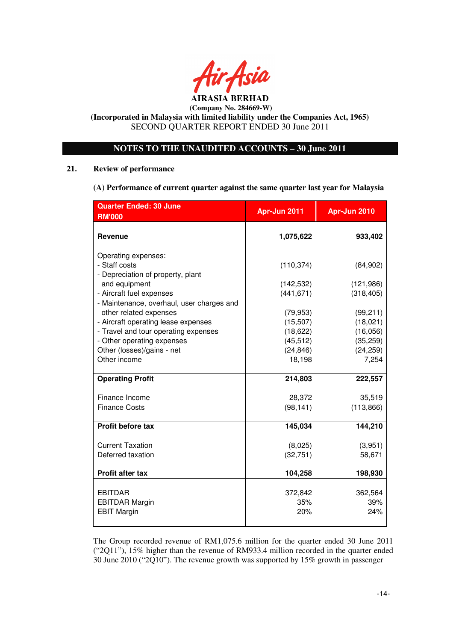

# **(Incorporated in Malaysia with limited liability under the Companies Act, 1965)**  SECOND QUARTER REPORT ENDED 30 June 2011

# **NOTES TO THE UNAUDITED ACCOUNTS – 30 June 2011**

# **21. Review of performance**

**(A) Performance of current quarter against the same quarter last year for Malaysia**

| <b>Quarter Ended: 30 June</b><br><b>RM'000</b>                                                                                                                                                                                                                                                                                                           | Apr-Jun 2011                                                                                                      | Apr-Jun 2010                                                                                                 |
|----------------------------------------------------------------------------------------------------------------------------------------------------------------------------------------------------------------------------------------------------------------------------------------------------------------------------------------------------------|-------------------------------------------------------------------------------------------------------------------|--------------------------------------------------------------------------------------------------------------|
| <b>Revenue</b>                                                                                                                                                                                                                                                                                                                                           | 1,075,622                                                                                                         | 933,402                                                                                                      |
| Operating expenses:<br>- Staff costs<br>- Depreciation of property, plant<br>and equipment<br>- Aircraft fuel expenses<br>- Maintenance, overhaul, user charges and<br>other related expenses<br>- Aircraft operating lease expenses<br>- Travel and tour operating expenses<br>- Other operating expenses<br>Other (losses)/gains - net<br>Other income | (110, 374)<br>(142, 532)<br>(441, 671)<br>(79, 953)<br>(15, 507)<br>(18, 622)<br>(45, 512)<br>(24, 846)<br>18,198 | (84,902)<br>(121, 986)<br>(318, 405)<br>(99, 211)<br>(18,021)<br>(16,056)<br>(35, 259)<br>(24, 259)<br>7,254 |
| <b>Operating Profit</b>                                                                                                                                                                                                                                                                                                                                  | 214,803                                                                                                           | 222,557                                                                                                      |
| Finance Income<br><b>Finance Costs</b>                                                                                                                                                                                                                                                                                                                   | 28,372<br>(98, 141)                                                                                               | 35,519<br>(113,866)                                                                                          |
| <b>Profit before tax</b>                                                                                                                                                                                                                                                                                                                                 | 145,034                                                                                                           | 144,210                                                                                                      |
| <b>Current Taxation</b><br>Deferred taxation<br><b>Profit after tax</b>                                                                                                                                                                                                                                                                                  | (8,025)<br>(32, 751)<br>104,258                                                                                   | (3,951)<br>58,671<br>198,930                                                                                 |
|                                                                                                                                                                                                                                                                                                                                                          |                                                                                                                   |                                                                                                              |
| <b>EBITDAR</b><br><b>EBITDAR Margin</b><br><b>EBIT Margin</b>                                                                                                                                                                                                                                                                                            | 372,842<br>35%<br>20%                                                                                             | 362,564<br>39%<br>24%                                                                                        |

The Group recorded revenue of RM1,075.6 million for the quarter ended 30 June 2011 ("2Q11"), 15% higher than the revenue of RM933.4 million recorded in the quarter ended 30 June 2010 ("2Q10"). The revenue growth was supported by 15% growth in passenger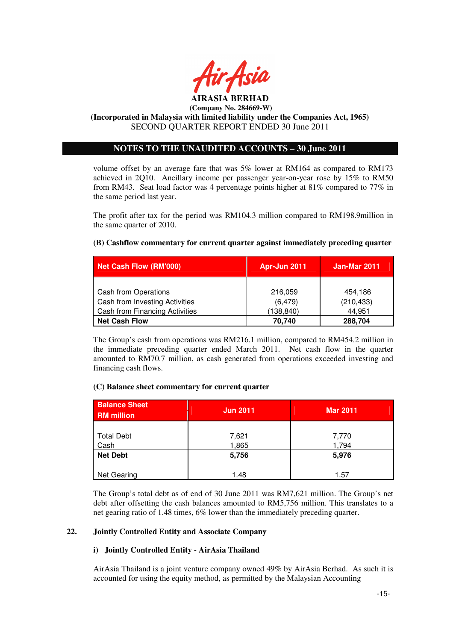

# **(Company No. 284669-W)**

# **(Incorporated in Malaysia with limited liability under the Companies Act, 1965)**  SECOND QUARTER REPORT ENDED 30 June 2011

# **NOTES TO THE UNAUDITED ACCOUNTS – 30 June 2011**

volume offset by an average fare that was 5% lower at RM164 as compared to RM173 achieved in 2Q10. Ancillary income per passenger year-on-year rose by 15% to RM50 from RM43. Seat load factor was 4 percentage points higher at 81% compared to 77% in the same period last year.

The profit after tax for the period was RM104.3 million compared to RM198.9million in the same quarter of 2010.

# **(B) Cashflow commentary for current quarter against immediately preceding quarter**

| Net Cash Flow (RM'000)                                                                          | Apr-Jun 2011                      | <b>Jan-Mar 2011</b>             |
|-------------------------------------------------------------------------------------------------|-----------------------------------|---------------------------------|
| Cash from Operations<br>Cash from Investing Activities<br><b>Cash from Financing Activities</b> | 216,059<br>(6, 479)<br>(138, 840) | 454,186<br>(210, 433)<br>44,951 |
| <b>Net Cash Flow</b>                                                                            | 70,740                            | 288,704                         |

The Group's cash from operations was RM216.1 million, compared to RM454.2 million in the immediate preceding quarter ended March 2011. Net cash flow in the quarter amounted to RM70.7 million, as cash generated from operations exceeded investing and financing cash flows.

## **(C) Balance sheet commentary for current quarter**

| <b>Balance Sheet</b><br><b>RM</b> million | <b>Jun 2011</b> | <b>Mar 2011</b> |
|-------------------------------------------|-----------------|-----------------|
| <b>Total Debt</b><br>Cash                 | 7,621<br>1,865  | 7,770<br>1,794  |
| <b>Net Debt</b>                           | 5,756           | 5,976           |
| Net Gearing                               | 1.48            | 1.57            |

The Group's total debt as of end of 30 June 2011 was RM7,621 million. The Group's net debt after offsetting the cash balances amounted to RM5,756 million. This translates to a net gearing ratio of 1.48 times, 6% lower than the immediately preceding quarter.

# **22. Jointly Controlled Entity and Associate Company**

## **i) Jointly Controlled Entity - AirAsia Thailand**

AirAsia Thailand is a joint venture company owned 49% by AirAsia Berhad. As such it is accounted for using the equity method, as permitted by the Malaysian Accounting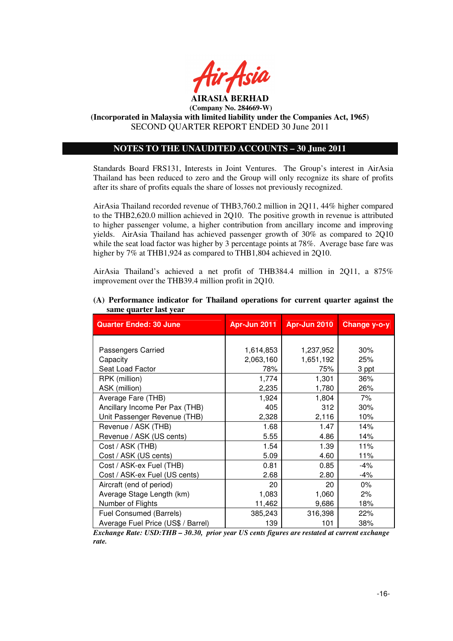

# **NOTES TO THE UNAUDITED ACCOUNTS – 30 June 2011**

Standards Board FRS131, Interests in Joint Ventures. The Group's interest in AirAsia Thailand has been reduced to zero and the Group will only recognize its share of profits after its share of profits equals the share of losses not previously recognized.

AirAsia Thailand recorded revenue of THB3,760.2 million in 2Q11, 44% higher compared to the THB2,620.0 million achieved in 2Q10. The positive growth in revenue is attributed to higher passenger volume, a higher contribution from ancillary income and improving yields. AirAsia Thailand has achieved passenger growth of 30% as compared to 2Q10 while the seat load factor was higher by 3 percentage points at 78%. Average base fare was higher by 7% at THB1,924 as compared to THB1,804 achieved in 2Q10.

AirAsia Thailand's achieved a net profit of THB384.4 million in 2Q11, a 875% improvement over the THB39.4 million profit in 2Q10.

| <b>Quarter Ended: 30 June</b>      | Apr-Jun 2011 | <b>Apr-Jun 2010</b> | <b>Change y-o-y</b> |
|------------------------------------|--------------|---------------------|---------------------|
|                                    |              |                     |                     |
| Passengers Carried                 | 1,614,853    | 1,237,952           | 30%                 |
| Capacity                           | 2,063,160    | 1,651,192           | 25%                 |
| Seat Load Factor                   | 78%          | 75%                 | 3 ppt               |
| RPK (million)                      | 1,774        | 1,301               | 36%                 |
| ASK (million)                      | 2,235        | 1,780               | 26%                 |
| Average Fare (THB)                 | 1,924        | 1,804               | 7%                  |
| Ancillary Income Per Pax (THB)     | 405          | 312                 | 30%                 |
| Unit Passenger Revenue (THB)       | 2,328        | 2,116               | 10%                 |
| Revenue / ASK (THB)                | 1.68         | 1.47                | 14%                 |
| Revenue / ASK (US cents)           | 5.55         | 4.86                | 14%                 |
| Cost / ASK (THB)                   | 1.54         | 1.39                | 11%                 |
| Cost / ASK (US cents)              | 5.09         | 4.60                | 11%                 |
| Cost / ASK-ex Fuel (THB)           | 0.81         | 0.85                | -4%                 |
| Cost / ASK-ex Fuel (US cents)      | 2.68         | 2.80                | $-4%$               |
| Aircraft (end of period)           | 20           | 20                  | $0\%$               |
| Average Stage Length (km)          | 1,083        | 1,060               | 2%                  |
| Number of Flights                  | 11,462       | 9,686               | 18%                 |
| Fuel Consumed (Barrels)            | 385,243      | 316,398             | 22%                 |
| Average Fuel Price (US\$ / Barrel) | 139          | 101                 | 38%                 |

# **(A) Performance indicator for Thailand operations for current quarter against the same quarter last year**

*Exchange Rate: USD:THB – 30.30, prior year US cents figures are restated at current exchange rate.*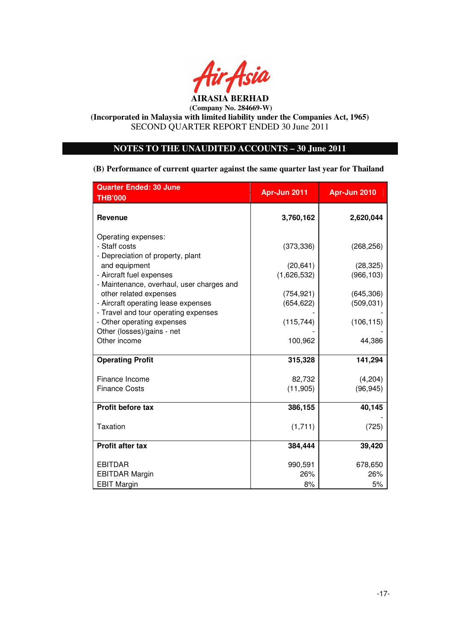

# **NOTES TO THE UNAUDITED ACCOUNTS – 30 June 2011**

**(B) Performance of current quarter against the same quarter last year for Thailand** 

| Quarter Ended: 30 June<br><b>THB'000</b>                                    | Apr-Jun 2011 | Apr-Jun 2010 |
|-----------------------------------------------------------------------------|--------------|--------------|
| <b>Revenue</b>                                                              | 3,760,162    | 2,620,044    |
| Operating expenses:                                                         |              |              |
| - Staff costs                                                               | (373, 336)   | (268, 256)   |
| - Depreciation of property, plant                                           |              |              |
| and equipment                                                               | (20, 641)    | (28, 325)    |
| - Aircraft fuel expenses                                                    | (1,626,532)  | (966, 103)   |
| - Maintenance, overhaul, user charges and                                   |              |              |
| other related expenses                                                      | (754, 921)   | (645,306)    |
| - Aircraft operating lease expenses<br>- Travel and tour operating expenses | (654, 622)   | (509, 031)   |
| - Other operating expenses                                                  | (115, 744)   | (106, 115)   |
| Other (losses)/gains - net                                                  |              |              |
| Other income                                                                | 100,962      | 44,386       |
|                                                                             |              |              |
| <b>Operating Profit</b>                                                     | 315,328      | 141,294      |
| Finance Income                                                              | 82,732       | (4,204)      |
| <b>Finance Costs</b>                                                        | (11, 905)    | (96, 945)    |
| Profit before tax                                                           | 386,155      | 40,145       |
|                                                                             |              |              |
| <b>Taxation</b>                                                             | (1,711)      | (725)        |
| <b>Profit after tax</b>                                                     | 384,444      | 39,420       |
| <b>EBITDAR</b>                                                              | 990,591      | 678,650      |
| <b>EBITDAR Margin</b>                                                       | 26%          | 26%          |
| <b>EBIT Margin</b>                                                          | 8%           | 5%           |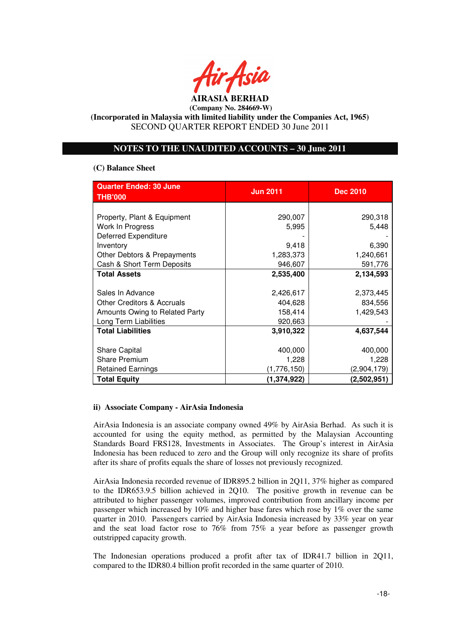

# **NOTES TO THE UNAUDITED ACCOUNTS – 30 June 2011**

#### **(C) Balance Sheet**

| <b>Quarter Ended: 30 June</b><br><b>THB'000</b> | <b>Jun 2011</b> | <b>Dec 2010</b> |
|-------------------------------------------------|-----------------|-----------------|
|                                                 |                 |                 |
| Property, Plant & Equipment                     | 290,007         | 290,318         |
| Work In Progress                                | 5,995           | 5,448           |
| <b>Deferred Expenditure</b>                     |                 |                 |
| Inventory                                       | 9,418           | 6,390           |
| Other Debtors & Prepayments                     | 1,283,373       | 1,240,661       |
| Cash & Short Term Deposits                      | 946,607         | 591,776         |
| <b>Total Assets</b>                             | 2,535,400       | 2,134,593       |
|                                                 |                 |                 |
| Sales In Advance                                | 2,426,617       | 2,373,445       |
| Other Creditors & Accruals                      | 404,628         | 834,556         |
| Amounts Owing to Related Party                  | 158,414         | 1,429,543       |
| Long Term Liabilities                           | 920,663         |                 |
| <b>Total Liabilities</b>                        | 3,910,322       | 4,637,544       |
|                                                 |                 |                 |
| <b>Share Capital</b>                            | 400,000         | 400,000         |
| <b>Share Premium</b>                            | 1,228           | 1,228           |
| <b>Retained Earnings</b>                        | (1,776,150)     | (2,904,179)     |
| <b>Total Equity</b>                             | (1,374,922)     | (2,502,951)     |

## **ii) Associate Company - AirAsia Indonesia**

AirAsia Indonesia is an associate company owned 49% by AirAsia Berhad. As such it is accounted for using the equity method, as permitted by the Malaysian Accounting Standards Board FRS128, Investments in Associates. The Group's interest in AirAsia Indonesia has been reduced to zero and the Group will only recognize its share of profits after its share of profits equals the share of losses not previously recognized.

AirAsia Indonesia recorded revenue of IDR895.2 billion in 2Q11, 37% higher as compared to the IDR653.9.5 billion achieved in 2Q10. The positive growth in revenue can be attributed to higher passenger volumes, improved contribution from ancillary income per passenger which increased by 10% and higher base fares which rose by 1% over the same quarter in 2010. Passengers carried by AirAsia Indonesia increased by 33% year on year and the seat load factor rose to 76% from 75% a year before as passenger growth outstripped capacity growth.

The Indonesian operations produced a profit after tax of IDR41.7 billion in 2Q11, compared to the IDR80.4 billion profit recorded in the same quarter of 2010.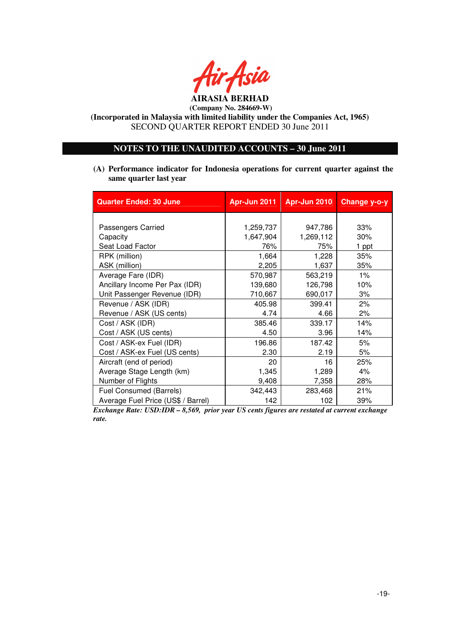

**(Incorporated in Malaysia with limited liability under the Companies Act, 1965)**  SECOND QUARTER REPORT ENDED 30 June 2011

# **NOTES TO THE UNAUDITED ACCOUNTS – 30 June 2011**

**(A) Performance indicator for Indonesia operations for current quarter against the same quarter last year** 

| <b>Quarter Ended: 30 June</b>      | Apr-Jun 2011 | <b>Apr-Jun 2010</b> | <b>Change y-o-y</b> |
|------------------------------------|--------------|---------------------|---------------------|
|                                    |              |                     |                     |
| Passengers Carried                 | 1,259,737    | 947,786             | 33%                 |
| Capacity                           | 1,647,904    | 1,269,112           | 30%                 |
| Seat Load Factor                   | 76%          | 75%                 | 1 ppt               |
| RPK (million)                      | 1,664        | 1,228               | 35%                 |
| ASK (million)                      | 2,205        | 1,637               | 35%                 |
| Average Fare (IDR)                 | 570,987      | 563,219             | $1\%$               |
| Ancillary Income Per Pax (IDR)     | 139,680      | 126,798             | 10%                 |
| Unit Passenger Revenue (IDR)       | 710,667      | 690,017             | 3%                  |
| Revenue / ASK (IDR)                | 405.98       | 399.41              | 2%                  |
| Revenue / ASK (US cents)           | 4.74         | 4.66                | 2%                  |
| Cost / ASK (IDR)                   | 385.46       | 339.17              | 14%                 |
| Cost / ASK (US cents)              | 4.50         | 3.96                | 14%                 |
| Cost / ASK-ex Fuel (IDR)           | 196.86       | 187.42              | 5%                  |
| Cost / ASK-ex Fuel (US cents)      | 2.30         | 2.19                | 5%                  |
| Aircraft (end of period)           | 20           | 16                  | 25%                 |
| Average Stage Length (km)          | 1,345        | 1,289               | 4%                  |
| Number of Flights                  | 9,408        | 7,358               | 28%                 |
| Fuel Consumed (Barrels)            | 342,443      | 283,468             | 21%                 |
| Average Fuel Price (US\$ / Barrel) | 142          | 102                 | 39%                 |

*Exchange Rate: USD:IDR – 8,569, prior year US cents figures are restated at current exchange rate.*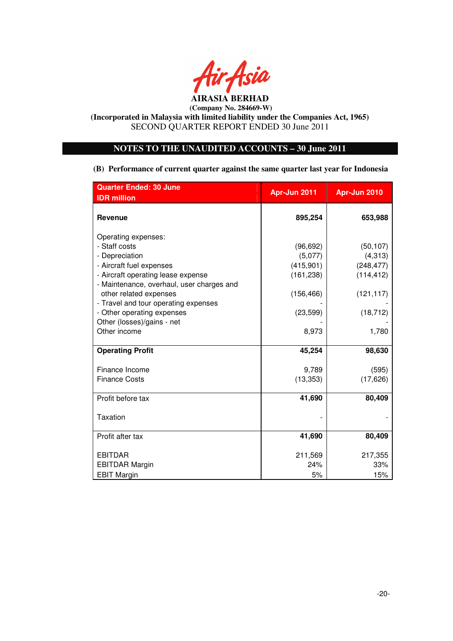

 **(Company No. 284669-W)** 

**(Incorporated in Malaysia with limited liability under the Companies Act, 1965)**  SECOND QUARTER REPORT ENDED 30 June 2011

# **NOTES TO THE UNAUDITED ACCOUNTS – 30 June 2011**

**(B) Performance of current quarter against the same quarter last year for Indonesia** 

| <b>Quarter Ended: 30 June</b>             | Apr-Jun 2011 | Apr-Jun 2010 |
|-------------------------------------------|--------------|--------------|
| <b>IDR</b> million                        |              |              |
| <b>Revenue</b>                            | 895,254      | 653,988      |
| Operating expenses:                       |              |              |
| - Staff costs                             | (96, 692)    | (50, 107)    |
| - Depreciation                            | (5,077)      | (4,313)      |
| - Aircraft fuel expenses                  | (415, 901)   | (248, 477)   |
| - Aircraft operating lease expense        | (161, 238)   | (114, 412)   |
| - Maintenance, overhaul, user charges and |              |              |
| other related expenses                    | (156, 466)   | (121, 117)   |
| - Travel and tour operating expenses      |              |              |
| - Other operating expenses                | (23, 599)    | (18, 712)    |
| Other (losses)/gains - net                |              |              |
| Other income                              | 8,973        | 1,780        |
| <b>Operating Profit</b>                   | 45,254       | 98,630       |
| Finance Income                            | 9,789        | (595)        |
| <b>Finance Costs</b>                      | (13, 353)    | (17, 626)    |
|                                           |              |              |
| Profit before tax                         | 41,690       | 80,409       |
| Taxation                                  |              |              |
|                                           |              |              |
| Profit after tax                          | 41,690       | 80,409       |
| <b>EBITDAR</b>                            | 211,569      | 217,355      |
| <b>EBITDAR Margin</b>                     | 24%          | 33%          |
| <b>EBIT Margin</b>                        | 5%           | 15%          |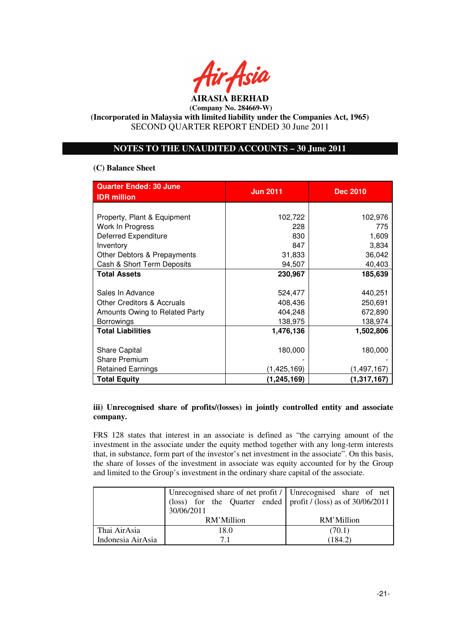

# **NOTES TO THE UNAUDITED ACCOUNTS – 30 June 2011**

#### **(C) Balance Sheet**

| <b>Quarter Ended: 30 June</b><br><b>IDR</b> million | <b>Jun 2011</b> | <b>Dec 2010</b> |
|-----------------------------------------------------|-----------------|-----------------|
|                                                     |                 |                 |
| Property, Plant & Equipment                         | 102,722         | 102,976         |
| Work In Progress                                    | 228             | 775             |
| <b>Deferred Expenditure</b>                         | 830             | 1,609           |
| Inventory                                           | 847             | 3,834           |
| Other Debtors & Prepayments                         | 31,833          | 36,042          |
| Cash & Short Term Deposits                          | 94,507          | 40,403          |
| <b>Total Assets</b>                                 | 230,967         | 185,639         |
|                                                     |                 |                 |
| Sales In Advance                                    | 524,477         | 440,251         |
| Other Creditors & Accruals                          | 408,436         | 250,691         |
| Amounts Owing to Related Party                      | 404,248         | 672,890         |
| <b>Borrowings</b>                                   | 138,975         | 138,974         |
| <b>Total Liabilities</b>                            | 1,476,136       | 1,502,806       |
|                                                     |                 |                 |
| <b>Share Capital</b>                                | 180,000         | 180,000         |
| <b>Share Premium</b>                                |                 |                 |
| <b>Retained Earnings</b>                            | (1, 425, 169)   | (1, 497, 167)   |
| <b>Total Equity</b>                                 | (1,245,169)     | (1, 317, 167)   |

# **iii) Unrecognised share of profits/(losses) in jointly controlled entity and associate company.**

FRS 128 states that interest in an associate is defined as "the carrying amount of the investment in the associate under the equity method together with any long-term interests that, in substance, form part of the investor's net investment in the associate". On this basis, the share of losses of the investment in associate was equity accounted for by the Group and limited to the Group's investment in the ordinary share capital of the associate.

|                   | Unrecognised share of net profit /   Unrecognised share of net    |            |
|-------------------|-------------------------------------------------------------------|------------|
|                   | (loss) for the Quarter ended   profit / (loss) as of $30/06/2011$ |            |
|                   | 30/06/2011                                                        |            |
|                   | RM'Million                                                        | RM'Million |
| Thai AirAsia      | 18.0                                                              | (70.1)     |
| Indonesia AirAsia | 71                                                                | (184.2)    |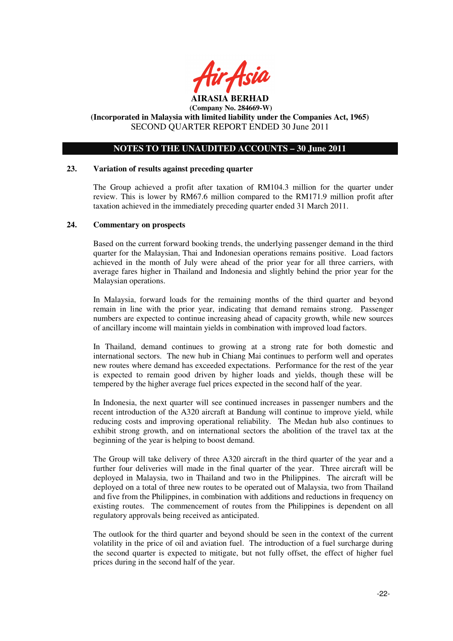

# **NOTES TO THE UNAUDITED ACCOUNTS – 30 June 2011**

#### **23. Variation of results against preceding quarter**

The Group achieved a profit after taxation of RM104.3 million for the quarter under review. This is lower by RM67.6 million compared to the RM171.9 million profit after taxation achieved in the immediately preceding quarter ended 31 March 2011.

#### **24. Commentary on prospects**

Based on the current forward booking trends, the underlying passenger demand in the third quarter for the Malaysian, Thai and Indonesian operations remains positive. Load factors achieved in the month of July were ahead of the prior year for all three carriers, with average fares higher in Thailand and Indonesia and slightly behind the prior year for the Malaysian operations.

In Malaysia, forward loads for the remaining months of the third quarter and beyond remain in line with the prior year, indicating that demand remains strong. Passenger numbers are expected to continue increasing ahead of capacity growth, while new sources of ancillary income will maintain yields in combination with improved load factors.

In Thailand, demand continues to growing at a strong rate for both domestic and international sectors. The new hub in Chiang Mai continues to perform well and operates new routes where demand has exceeded expectations. Performance for the rest of the year is expected to remain good driven by higher loads and yields, though these will be tempered by the higher average fuel prices expected in the second half of the year.

In Indonesia, the next quarter will see continued increases in passenger numbers and the recent introduction of the A320 aircraft at Bandung will continue to improve yield, while reducing costs and improving operational reliability. The Medan hub also continues to exhibit strong growth, and on international sectors the abolition of the travel tax at the beginning of the year is helping to boost demand.

The Group will take delivery of three A320 aircraft in the third quarter of the year and a further four deliveries will made in the final quarter of the year. Three aircraft will be deployed in Malaysia, two in Thailand and two in the Philippines. The aircraft will be deployed on a total of three new routes to be operated out of Malaysia, two from Thailand and five from the Philippines, in combination with additions and reductions in frequency on existing routes. The commencement of routes from the Philippines is dependent on all regulatory approvals being received as anticipated.

The outlook for the third quarter and beyond should be seen in the context of the current volatility in the price of oil and aviation fuel. The introduction of a fuel surcharge during the second quarter is expected to mitigate, but not fully offset, the effect of higher fuel prices during in the second half of the year.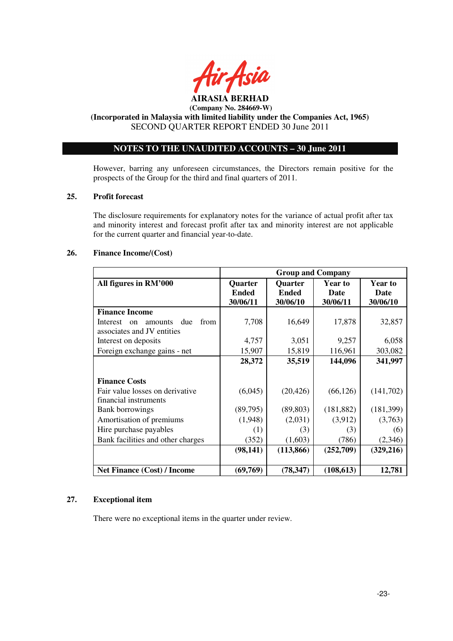

# **(Incorporated in Malaysia with limited liability under the Companies Act, 1965)**  SECOND QUARTER REPORT ENDED 30 June 2011

# **NOTES TO THE UNAUDITED ACCOUNTS – 30 June 2011**

However, barring any unforeseen circumstances, the Directors remain positive for the prospects of the Group for the third and final quarters of 2011.

#### **25. Profit forecast**

The disclosure requirements for explanatory notes for the variance of actual profit after tax and minority interest and forecast profit after tax and minority interest are not applicable for the current quarter and financial year-to-date.

#### **26. Finance Income/(Cost)**

|                                                                              | <b>Group and Company</b>            |                                     |                                           |                                    |
|------------------------------------------------------------------------------|-------------------------------------|-------------------------------------|-------------------------------------------|------------------------------------|
| All figures in RM'000                                                        | Quarter<br><b>Ended</b><br>30/06/11 | Quarter<br><b>Ended</b><br>30/06/10 | <b>Year to</b><br><b>Date</b><br>30/06/11 | <b>Year to</b><br>Date<br>30/06/10 |
| <b>Finance Income</b>                                                        |                                     |                                     |                                           |                                    |
| from<br>Interest<br>due<br>amounts<br>$\alpha$<br>associates and JV entities | 7,708                               | 16,649                              | 17,878                                    | 32,857                             |
| Interest on deposits                                                         | 4,757                               | 3,051                               | 9,257                                     | 6,058                              |
| Foreign exchange gains - net                                                 | 15,907                              | 15,819                              | 116,961                                   | 303,082                            |
|                                                                              | 28,372                              | 35,519                              | 144,096                                   | 341,997                            |
| <b>Finance Costs</b><br>Fair value losses on derivative                      | (6,045)                             | (20, 426)                           | (66, 126)                                 | (141,702)                          |
| financial instruments                                                        |                                     |                                     |                                           |                                    |
| <b>Bank borrowings</b>                                                       | (89,795)                            | (89, 803)                           | (181, 882)                                | (181,399)                          |
| Amortisation of premiums                                                     | (1,948)                             | (2,031)                             | (3,912)                                   | (3,763)                            |
| Hire purchase payables                                                       | (1)                                 | (3)                                 | (3)                                       | (6)                                |
| Bank facilities and other charges                                            | (352)                               | (1,603)                             | (786)                                     | (2,346)                            |
|                                                                              | (98, 141)                           | (113, 866)                          | (252,709)                                 | (329, 216)                         |
| <b>Net Finance (Cost) / Income</b>                                           | (69,769)                            | (78, 347)                           | (108, 613)                                | 12,781                             |

# **27. Exceptional item**

There were no exceptional items in the quarter under review.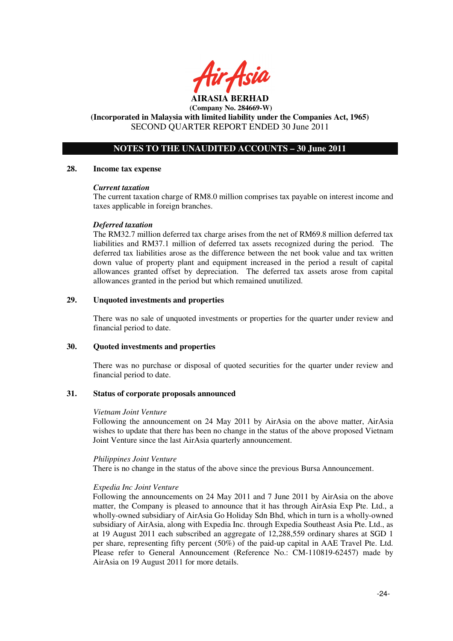

# **(Incorporated in Malaysia with limited liability under the Companies Act, 1965)**  SECOND QUARTER REPORT ENDED 30 June 2011

# **NOTES TO THE UNAUDITED ACCOUNTS – 30 June 2011**

## **28. Income tax expense**

## *Current taxation*

The current taxation charge of RM8.0 million comprises tax payable on interest income and taxes applicable in foreign branches.

## *Deferred taxation*

The RM32.7 million deferred tax charge arises from the net of RM69.8 million deferred tax liabilities and RM37.1 million of deferred tax assets recognized during the period. The deferred tax liabilities arose as the difference between the net book value and tax written down value of property plant and equipment increased in the period a result of capital allowances granted offset by depreciation. The deferred tax assets arose from capital allowances granted in the period but which remained unutilized.

## **29. Unquoted investments and properties**

There was no sale of unquoted investments or properties for the quarter under review and financial period to date.

#### **30. Quoted investments and properties**

There was no purchase or disposal of quoted securities for the quarter under review and financial period to date.

## **31. Status of corporate proposals announced**

#### *Vietnam Joint Venture*

Following the announcement on 24 May 2011 by AirAsia on the above matter, AirAsia wishes to update that there has been no change in the status of the above proposed Vietnam Joint Venture since the last AirAsia quarterly announcement.

## *Philippines Joint Venture*

There is no change in the status of the above since the previous Bursa Announcement.

## *Expedia Inc Joint Venture*

Following the announcements on 24 May 2011 and 7 June 2011 by AirAsia on the above matter, the Company is pleased to announce that it has through AirAsia Exp Pte. Ltd., a wholly-owned subsidiary of AirAsia Go Holiday Sdn Bhd, which in turn is a wholly-owned subsidiary of AirAsia, along with Expedia Inc. through Expedia Southeast Asia Pte. Ltd., as at 19 August 2011 each subscribed an aggregate of 12,288,559 ordinary shares at SGD 1 per share, representing fifty percent (50%) of the paid-up capital in AAE Travel Pte. Ltd. Please refer to General Announcement (Reference No.: CM-110819-62457) made by AirAsia on 19 August 2011 for more details.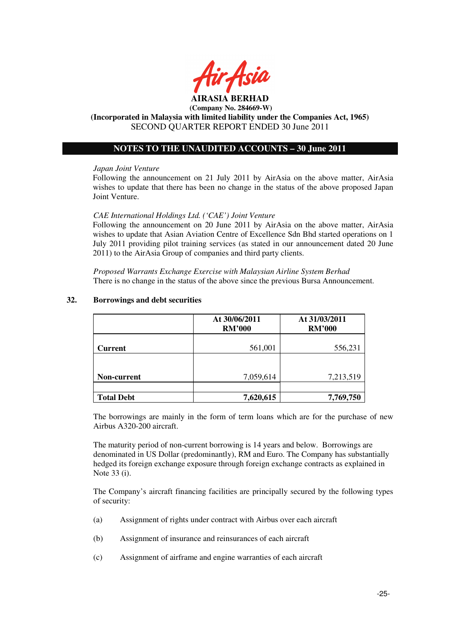

# **(Incorporated in Malaysia with limited liability under the Companies Act, 1965)**  SECOND QUARTER REPORT ENDED 30 June 2011

# **NOTES TO THE UNAUDITED ACCOUNTS – 30 June 2011**

#### *Japan Joint Venture*

Following the announcement on 21 July 2011 by AirAsia on the above matter, AirAsia wishes to update that there has been no change in the status of the above proposed Japan Joint Venture.

#### *CAE International Holdings Ltd. ('CAE') Joint Venture*

Following the announcement on 20 June 2011 by AirAsia on the above matter, AirAsia wishes to update that Asian Aviation Centre of Excellence Sdn Bhd started operations on 1 July 2011 providing pilot training services (as stated in our announcement dated 20 June 2011) to the AirAsia Group of companies and third party clients.

*Proposed Warrants Exchange Exercise with Malaysian Airline System Berhad*  There is no change in the status of the above since the previous Bursa Announcement.

|                   | At 30/06/2011<br><b>RM'000</b> | At 31/03/2011<br><b>RM'000</b> |  |
|-------------------|--------------------------------|--------------------------------|--|
| <b>Current</b>    | 561,001                        | 556,231                        |  |
|                   |                                |                                |  |
| Non-current       | 7,059,614                      | 7,213,519                      |  |
|                   |                                |                                |  |
| <b>Total Debt</b> | 7,620,615                      | 7,769,750                      |  |

#### **32. Borrowings and debt securities**

The borrowings are mainly in the form of term loans which are for the purchase of new Airbus A320-200 aircraft.

The maturity period of non-current borrowing is 14 years and below. Borrowings are denominated in US Dollar (predominantly), RM and Euro. The Company has substantially hedged its foreign exchange exposure through foreign exchange contracts as explained in Note 33 (i).

The Company's aircraft financing facilities are principally secured by the following types of security:

- (a) Assignment of rights under contract with Airbus over each aircraft
- (b) Assignment of insurance and reinsurances of each aircraft
- (c) Assignment of airframe and engine warranties of each aircraft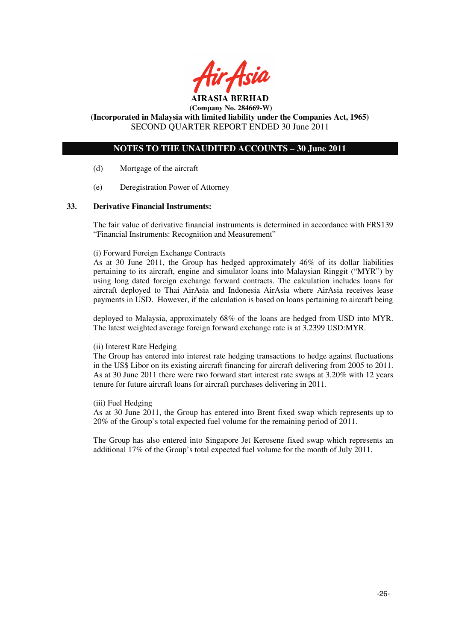

**(Incorporated in Malaysia with limited liability under the Companies Act, 1965)**  SECOND QUARTER REPORT ENDED 30 June 2011

# **NOTES TO THE UNAUDITED ACCOUNTS – 30 June 2011**

- (d) Mortgage of the aircraft
- (e) Deregistration Power of Attorney

#### **33. Derivative Financial Instruments:**

The fair value of derivative financial instruments is determined in accordance with FRS139 "Financial Instruments: Recognition and Measurement"

#### (i) Forward Foreign Exchange Contracts

As at 30 June 2011, the Group has hedged approximately 46% of its dollar liabilities pertaining to its aircraft, engine and simulator loans into Malaysian Ringgit ("MYR") by using long dated foreign exchange forward contracts. The calculation includes loans for aircraft deployed to Thai AirAsia and Indonesia AirAsia where AirAsia receives lease payments in USD. However, if the calculation is based on loans pertaining to aircraft being

deployed to Malaysia, approximately 68% of the loans are hedged from USD into MYR. The latest weighted average foreign forward exchange rate is at 3.2399 USD:MYR.

#### (ii) Interest Rate Hedging

The Group has entered into interest rate hedging transactions to hedge against fluctuations in the US\$ Libor on its existing aircraft financing for aircraft delivering from 2005 to 2011. As at 30 June 2011 there were two forward start interest rate swaps at 3.20% with 12 years tenure for future aircraft loans for aircraft purchases delivering in 2011.

#### (iii) Fuel Hedging

As at 30 June 2011, the Group has entered into Brent fixed swap which represents up to 20% of the Group's total expected fuel volume for the remaining period of 2011.

The Group has also entered into Singapore Jet Kerosene fixed swap which represents an additional 17% of the Group's total expected fuel volume for the month of July 2011.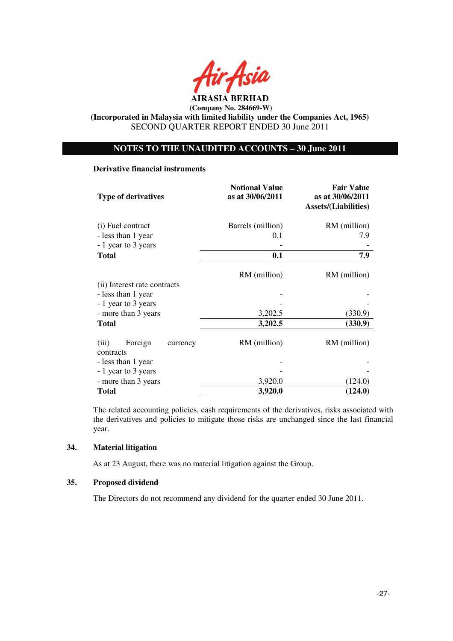

**(Incorporated in Malaysia with limited liability under the Companies Act, 1965)**  SECOND QUARTER REPORT ENDED 30 June 2011

# **NOTES TO THE UNAUDITED ACCOUNTS – 30 June 2011**

#### **Derivative financial instruments**

| <b>Type of derivatives</b>                | <b>Notional Value</b><br>as at 30/06/2011 | <b>Fair Value</b><br>as at 30/06/2011<br><b>Assets/(Liabilities)</b> |  |
|-------------------------------------------|-------------------------------------------|----------------------------------------------------------------------|--|
| (i) Fuel contract                         | Barrels (million)                         | RM (million)                                                         |  |
| - less than 1 year                        | 0.1                                       | 7.9                                                                  |  |
| - 1 year to 3 years                       |                                           |                                                                      |  |
| <b>Total</b>                              | 0.1                                       | 7.9                                                                  |  |
|                                           | RM (million)                              | RM (million)                                                         |  |
| (ii) Interest rate contracts              |                                           |                                                                      |  |
| - less than 1 year                        |                                           |                                                                      |  |
| - 1 year to 3 years                       |                                           |                                                                      |  |
| - more than 3 years                       | 3,202.5                                   | (330.9)                                                              |  |
| <b>Total</b>                              | 3,202.5                                   | (330.9)                                                              |  |
| (iii)<br>Foreign<br>currency<br>contracts | RM (million)                              | RM (million)                                                         |  |
| - less than 1 year                        |                                           |                                                                      |  |
| - 1 year to 3 years                       |                                           |                                                                      |  |
| - more than 3 years                       | 3,920.0                                   | (124.0                                                               |  |
| <b>Total</b>                              | 3,920.0                                   | (124.0)                                                              |  |

The related accounting policies, cash requirements of the derivatives, risks associated with the derivatives and policies to mitigate those risks are unchanged since the last financial year.

# **34. Material litigation**

As at 23 August, there was no material litigation against the Group.

# **35. Proposed dividend**

The Directors do not recommend any dividend for the quarter ended 30 June 2011.